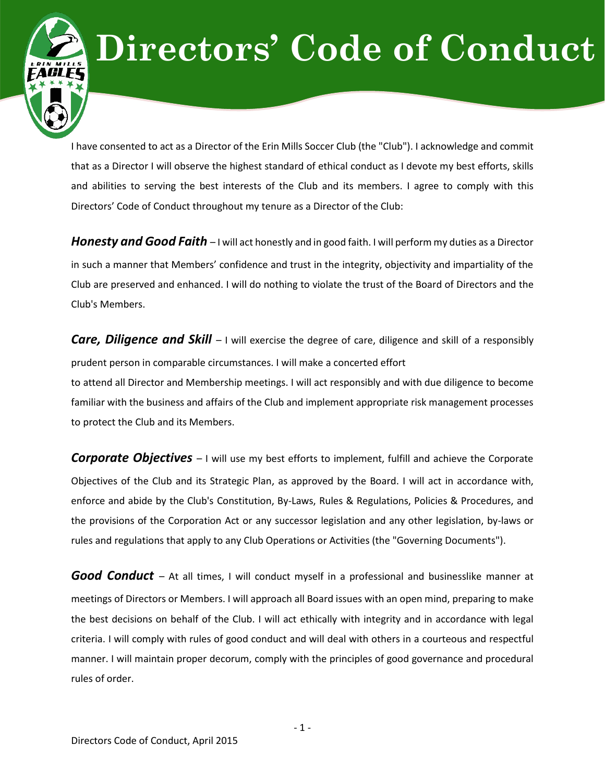## **Directors' Code of Conduct**

I have consented to act as a Director of the Erin Mills Soccer Club (the "Club"). I acknowledge and commit that as a Director I will observe the highest standard of ethical conduct as I devote my best efforts, skills and abilities to serving the best interests of the Club and its members. I agree to comply with this Directors' Code of Conduct throughout my tenure as a Director of the Club:

*Honesty and Good Faith –* I will act honestly and in good faith. I will perform my duties as a Director in such a manner that Members' confidence and trust in the integrity, objectivity and impartiality of the Club are preserved and enhanced. I will do nothing to violate the trust of the Board of Directors and the Club's Members.

*Care, Diligence and Skill –* I will exercise the degree of care, diligence and skill of a responsibly prudent person in comparable circumstances. I will make a concerted effort to attend all Director and Membership meetings. I will act responsibly and with due diligence to become familiar with the business and affairs of the Club and implement appropriate risk management processes to protect the Club and its Members.

**Corporate Objectives** – I will use my best efforts to implement, fulfill and achieve the Corporate Objectives of the Club and its Strategic Plan, as approved by the Board. I will act in accordance with, enforce and abide by the Club's Constitution, By-Laws, Rules & Regulations, Policies & Procedures, and the provisions of the Corporation Act or any successor legislation and any other legislation, by-laws or rules and regulations that apply to any Club Operations or Activities (the "Governing Documents").

**Good Conduct** – At all times, I will conduct myself in a professional and businesslike manner at meetings of Directors or Members. I will approach all Board issues with an open mind, preparing to make the best decisions on behalf of the Club. I will act ethically with integrity and in accordance with legal criteria. I will comply with rules of good conduct and will deal with others in a courteous and respectful manner. I will maintain proper decorum, comply with the principles of good governance and procedural rules of order.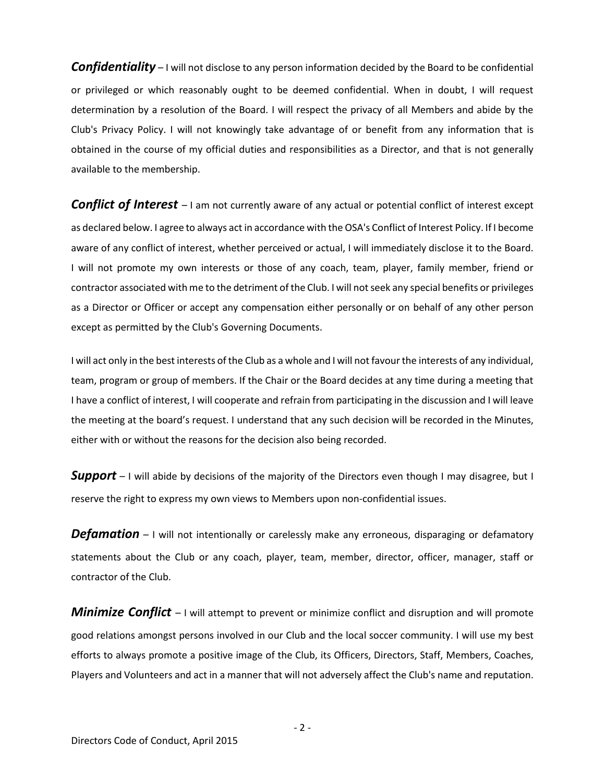*Confidentiality* – I will not disclose to any person information decided by the Board to be confidential or privileged or which reasonably ought to be deemed confidential. When in doubt, I will request determination by a resolution of the Board. I will respect the privacy of all Members and abide by the Club's Privacy Policy. I will not knowingly take advantage of or benefit from any information that is obtained in the course of my official duties and responsibilities as a Director, and that is not generally available to the membership.

**Conflict of Interest** – I am not currently aware of any actual or potential conflict of interest except as declared below. I agree to always act in accordance with the OSA's Conflict of Interest Policy. If I become aware of any conflict of interest, whether perceived or actual, I will immediately disclose it to the Board. I will not promote my own interests or those of any coach, team, player, family member, friend or contractor associated with me to the detriment of the Club. I will not seek any special benefits or privileges as a Director or Officer or accept any compensation either personally or on behalf of any other person except as permitted by the Club's Governing Documents.

I will act only in the best interests of the Club as a whole and I will not favour the interests of any individual, team, program or group of members. If the Chair or the Board decides at any time during a meeting that I have a conflict of interest, I will cooperate and refrain from participating in the discussion and I will leave the meeting at the board's request. I understand that any such decision will be recorded in the Minutes, either with or without the reasons for the decision also being recorded.

**Support** – I will abide by decisions of the majority of the Directors even though I may disagree, but I reserve the right to express my own views to Members upon non-confidential issues.

**Defamation** – I will not intentionally or carelessly make any erroneous, disparaging or defamatory statements about the Club or any coach, player, team, member, director, officer, manager, staff or contractor of the Club.

*Minimize Conflict* – I will attempt to prevent or minimize conflict and disruption and will promote good relations amongst persons involved in our Club and the local soccer community. I will use my best efforts to always promote a positive image of the Club, its Officers, Directors, Staff, Members, Coaches, Players and Volunteers and act in a manner that will not adversely affect the Club's name and reputation.